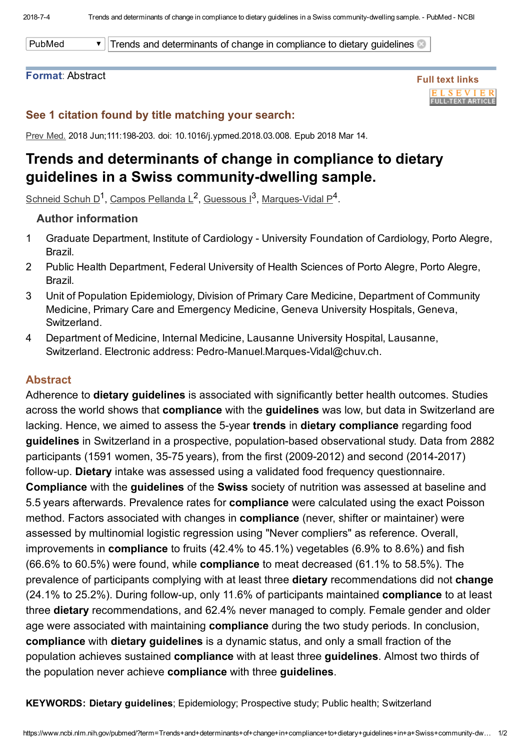PubMed  $\bullet$  Trends and determinants of change in compliance to dietary guidelines

### Format: Abstract



# See 1 citation found by title matching your search:

Prev Med. 2018 Jun;111:198-203. doi: 10.1016/j.ypmed.2018.03.008. Epub 2018 Mar 14.

# Trends and determinants of change in compliance to dietary guidelines in a Swiss community-dwelling sample.

[Schneid](https://www.ncbi.nlm.nih.gov/pubmed/?term=Schneid%20Schuh%20D%5BAuthor%5D&cauthor=true&cauthor_uid=29550301) Schuh D<sup>1</sup>, Campos [Pellanda](https://www.ncbi.nlm.nih.gov/pubmed/?term=Campos%20Pellanda%20L%5BAuthor%5D&cauthor=true&cauthor_uid=29550301) L<sup>2</sup>, [Guessous](https://www.ncbi.nlm.nih.gov/pubmed/?term=Guessous%20I%5BAuthor%5D&cauthor=true&cauthor_uid=29550301) I<sup>3</sup>, Marques-Vidal P<sup>4</sup>.

## Author information

- 1 Graduate Department, Institute of Cardiology University Foundation of Cardiology, Porto Alegre, Brazil.
- 2 Public Health Department, Federal University of Health Sciences of Porto Alegre, Porto Alegre, Brazil.
- 3 Unit of Population Epidemiology, Division of Primary Care Medicine, Department of Community Medicine, Primary Care and Emergency Medicine, Geneva University Hospitals, Geneva, Switzerland.
- 4 Department of Medicine, Internal Medicine, Lausanne University Hospital, Lausanne, Switzerland. Electronic address: Pedro-Manuel.Marques-Vidal@chuv.ch.

### Abstract

Adherence to **dietary guidelines** is associated with significantly better health outcomes. Studies across the world shows that **compliance** with the **guidelines** was low, but data in Switzerland are lacking. Hence, we aimed to assess the 5-year trends in dietary compliance regarding food guidelines in Switzerland in a prospective, population-based observational study. Data from 2882 participants (1591 women, 35-75 years), from the first (2009-2012) and second (2014-2017) follow-up. Dietary intake was assessed using a validated food frequency questionnaire. Compliance with the guidelines of the Swiss society of nutrition was assessed at baseline and 5.5 years afterwards. Prevalence rates for compliance were calculated using the exact Poisson method. Factors associated with changes in compliance (never, shifter or maintainer) were assessed by multinomial logistic regression using "Never compliers" as reference. Overall, improvements in compliance to fruits (42.4% to 45.1%) vegetables (6.9% to 8.6%) and fish (66.6% to 60.5%) were found, while compliance to meat decreased (61.1% to 58.5%). The prevalence of participants complying with at least three dietary recommendations did not change (24.1% to 25.2%). During follow-up, only 11.6% of participants maintained compliance to at least three dietary recommendations, and 62.4% never managed to comply. Female gender and older age were associated with maintaining **compliance** during the two study periods. In conclusion, compliance with dietary guidelines is a dynamic status, and only a small fraction of the population achieves sustained compliance with at least three guidelines. Almost two thirds of the population never achieve compliance with three guidelines.

KEYWORDS: Dietary guidelines; Epidemiology; Prospective study; Public health; Switzerland